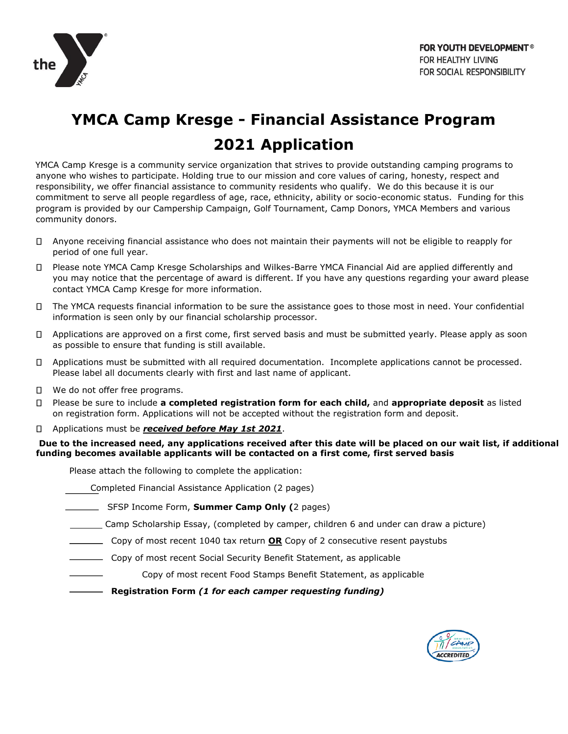

## **YMCA Camp Kresge - Financial Assistance Program 2021 Application**

YMCA Camp Kresge is a community service organization that strives to provide outstanding camping programs to anyone who wishes to participate. Holding true to our mission and core values of caring, honesty, respect and responsibility, we offer financial assistance to community residents who qualify. We do this because it is our commitment to serve all people regardless of age, race, ethnicity, ability or socio-economic status. Funding for this program is provided by our Campership Campaign, Golf Tournament, Camp Donors, YMCA Members and various community donors.

- $\Box$ Anyone receiving financial assistance who does not maintain their payments will not be eligible to reapply for period of one full year.
- П. Please note YMCA Camp Kresge Scholarships and Wilkes-Barre YMCA Financial Aid are applied differently and you may notice that the percentage of award is different. If you have any questions regarding your award please contact YMCA Camp Kresge for more information.
- The YMCA requests financial information to be sure the assistance goes to those most in need. Your confidential information is seen only by our financial scholarship processor.
- Applications are approved on a first come, first served basis and must be submitted yearly. Please apply as soon as possible to ensure that funding is still available.
- Applications must be submitted with all required documentation. Incomplete applications cannot be processed. Please label all documents clearly with first and last name of applicant.
- П. We do not offer free programs.
- Please be sure to include **a completed registration form for each child,** and **appropriate deposit** as listed п on registration form. Applications will not be accepted without the registration form and deposit.
- Applications must be *received before May 1st 2021*. Π.

**Due to the increased need, any applications received after this date will be placed on our wait list, if additional funding becomes available applicants will be contacted on a first come, first served basis** 

Please attach the following to complete the application:

- Completed Financial Assistance Application (2 pages)
- SFSP Income Form, **Summer Camp Only (**2 pages)
- Camp Scholarship Essay, (completed by camper, children 6 and under can draw a picture)
- Copy of most recent 1040 tax return **OR** Copy of 2 consecutive resent paystubs
- Copy of most recent Social Security Benefit Statement, as applicable
	- Copy of most recent Food Stamps Benefit Statement, as applicable
- **Registration Form** *(1 for each camper requesting funding)*

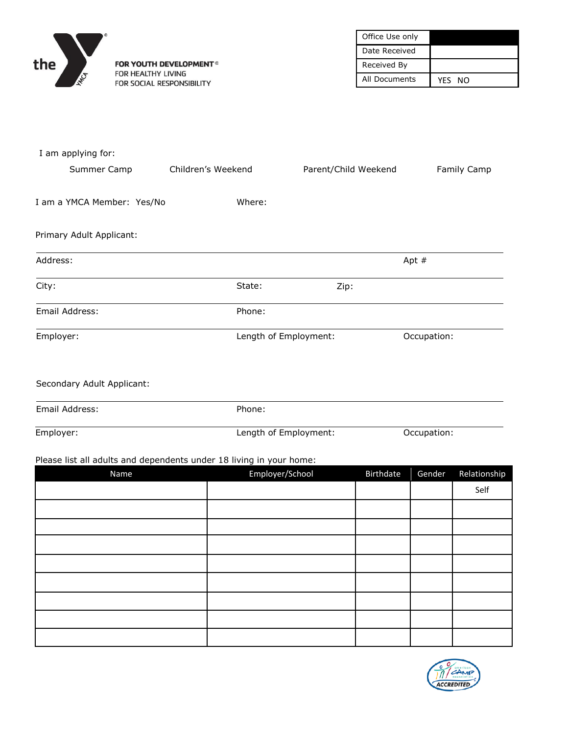

FOR YOUTH DEVELOPMENT<sup>®</sup> FOR HEALTHY LIVING FOR SOCIAL RESPONSIBILITY

| Office Use only |        |
|-----------------|--------|
| Date Received   |        |
| Received By     |        |
| All Documents   | YFS NO |

| I am applying for:         |                                                                     |                      |             |              |
|----------------------------|---------------------------------------------------------------------|----------------------|-------------|--------------|
| Summer Camp                | Children's Weekend                                                  | Parent/Child Weekend |             | Family Camp  |
| I am a YMCA Member: Yes/No | Where:                                                              |                      |             |              |
| Primary Adult Applicant:   |                                                                     |                      |             |              |
| Address:                   |                                                                     |                      | Apt $#$     |              |
| City:                      | State:                                                              | Zip:                 |             |              |
| Email Address:             | Phone:                                                              |                      |             |              |
| Employer:                  | Length of Employment:                                               |                      | Occupation: |              |
| Secondary Adult Applicant: |                                                                     |                      |             |              |
| Email Address:             | Phone:                                                              |                      |             |              |
| Employer:                  | Length of Employment:                                               |                      | Occupation: |              |
|                            | Please list all adults and dependents under 18 living in your home: |                      |             |              |
| Name                       | Employer/School                                                     | <b>Birthdate</b>     | Gender      | Relationship |
|                            |                                                                     |                      |             | Self         |
|                            |                                                                     |                      |             |              |
|                            |                                                                     |                      |             |              |
|                            |                                                                     |                      |             |              |
|                            |                                                                     |                      |             |              |
|                            |                                                                     |                      |             |              |
|                            |                                                                     |                      |             |              |
|                            |                                                                     |                      |             |              |
|                            |                                                                     |                      |             |              |

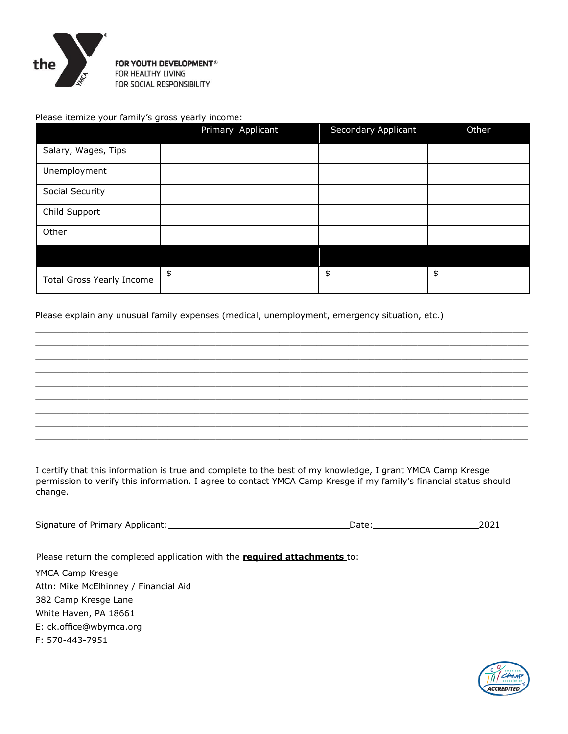

FOR YOUTH DEVELOPMENT<sup>®</sup> FOR HEALTHY LIVING FOR SOCIAL RESPONSIBILITY

Please itemize your family's gross yearly income:

|                                  | Primary Applicant | Secondary Applicant | Other |
|----------------------------------|-------------------|---------------------|-------|
| Salary, Wages, Tips              |                   |                     |       |
| Unemployment                     |                   |                     |       |
| Social Security                  |                   |                     |       |
| Child Support                    |                   |                     |       |
| Other                            |                   |                     |       |
|                                  |                   |                     |       |
| <b>Total Gross Yearly Income</b> | $\frac{1}{2}$     | \$                  | \$    |

 $\_$  ,  $\_$  ,  $\_$  ,  $\_$  ,  $\_$  ,  $\_$  ,  $\_$  ,  $\_$  ,  $\_$  ,  $\_$  ,  $\_$  ,  $\_$  ,  $\_$  ,  $\_$  ,  $\_$  ,  $\_$  ,  $\_$  ,  $\_$  ,  $\_$  ,  $\_$  ,  $\_$  ,  $\_$  ,  $\_$  ,  $\_$  ,  $\_$  ,  $\_$  ,  $\_$  ,  $\_$  ,  $\_$  ,  $\_$  ,  $\_$  ,  $\_$  ,  $\_$  ,  $\_$  ,  $\_$  ,  $\_$  ,  $\_$  ,  $\_$  ,  $\_$  ,  $\_$  ,  $\_$  ,  $\_$  ,  $\_$  ,  $\_$  ,  $\_$  ,  $\_$  ,  $\_$  ,  $\_$  ,  $\_$  ,  $\_$  ,  $\_$  ,  $\_$  ,  $\_$  ,  $\_$  ,  $\_$  ,  $\_$  ,  $\_$  ,  $\_$  ,  $\_$  ,  $\_$  ,  $\_$  ,  $\_$  ,  $\_$  ,  $\_$  ,  $\_$  ,  $\_$  ,  $\_$  ,  $\_$  ,  $\_$  ,  $\_$  ,  $\_$  ,  $\_$  ,  $\_$  ,  $\_$  ,  $\_$  ,  $\_$  ,  $\_$  ,  $\_$  ,  $\_$  ,  $\_$  ,  $\_$  ,  $\_$  ,  $\_$  ,  $\_$  ,  $\_$  ,  $\_$  ,  $\_$  ,  $\_$  ,  $\_$  ,  $\_$  ,  $\_$  ,  $\_$  ,  $\_$  ,  $\_$  ,  $\_$  ,  $\_$  ,  $\_$  ,  $\_$  ,  $\_$  ,  $\_$  ,  $\_$  ,  $\_$  ,  $\_$  ,  $\_$  ,  $\_$  ,  $\_$  ,  $\_$  ,  $\_$  ,  $\_$  ,  $\_$  ,  $\_$  ,  $\_$  ,  $\_$  ,  $\_$  ,  $\_$  ,  $\_$  ,  $\_$  ,  $\_$  ,  $\_$  ,  $\_$  ,  $\_$  ,  $\_$  ,  $\_$  ,  $\_$  ,  $\_$  ,  $\_$  ,  $\_$  ,  $\_$  ,  $\_$  ,  $\_$  ,  $\_$  ,  $\_$  ,  $\_$  ,  $\_$  ,  $\_$  ,  $\_$  ,  $\_$  ,  $\_$  ,  $\_$  ,  $\_$  ,  $\_$  ,  $\_$  ,  $\_$  ,  $\_$  ,  $\_$  ,  $\_$  ,  $\_$  ,  $\_$  ,  $\_$  ,  $\_$  ,  $\_$  ,  $\_$  ,  $\_$  ,  $\_$  ,  $\_$  ,  $\_$  ,  $\_$  ,  $\_$  ,  $\_$  ,  $\_$  ,  $\_$  ,  $\_$  ,  $\_$  ,  $\_$  ,  $\_$  ,  $\_$  ,  $\_$  ,  $\_$  ,  $\_$  ,  $\_$  ,  $\_$  ,  $\_$  ,  $\_$  ,  $\_$  ,  $\_$  ,  $\_$  ,  $\_$  ,  $\_$  ,  $\_$  ,  $\_$  ,  $\_$  ,  $\_$  ,  $\_$  ,  $\_$  ,  $\_$  ,  $\_$  ,  $\_$  ,  $\_$  ,  $\_$  ,  $\_$  ,  $\_$  ,  $\_$  ,  $\_$  ,  $\_$  ,  $\_$  ,  $\_$  ,  $\_$  ,  $\_$  ,  $\_$  ,  $\_$  ,  $\_$  ,  $\_$  ,  $\_$  ,  $\_$  ,  $\_$  ,  $\_$  ,  $\_$  ,  $\_$  ,  $\_$  ,  $\_$  ,  $\_$  ,  $\_$  ,  $\_$  ,  $\_$  ,  $\_$  ,  $\_$  ,  $\_$  ,  $\_$  ,  $\_$  ,  $\_$  ,  $\_$  ,  $\_$  ,  $\_$  ,  $\_$  ,  $\_$  ,  $\_$  ,  $\_$  ,  $\_$  ,  $\_$  ,  $\_$  ,  $\_$  ,  $\_$  ,  $\_$  ,  $\_$  ,  $\_$  ,  $\_$  ,  $\_$  ,  $\_$  ,  $\_$  ,  $\_$  ,  $\_$  ,  $\_$  ,  $\_$  ,  $\_$  ,  $\_$  ,  $\_$  ,  $\_$  ,  $\_$  ,  $\_$  ,  $\_$  ,  $\_$  ,  $\_$  ,  $\_$  ,  $\_$  ,  $\_$  ,  $\_$  ,  $\_$  ,  $\_$  ,  $\_$  ,  $\_$  ,  $\_$  ,  $\_$  ,  $\_$  ,  $\_$  ,  $\_$  ,  $\_$  ,  $\_$  ,  $\_$  ,  $\_$  ,  $\_$  ,  $\_$  ,  $\_$  ,  $\_$  ,  $\_$  ,  $\_$  ,  $\_$  ,  $\_$  ,  $\_$  ,  $\_$  ,  $\_$  ,  $\_$  ,  $\_$  ,  $\_$  ,  $\_$  ,  $\_$  ,  $\_$  ,  $\_$  ,  $\_$  ,  $\_$  ,  $\_$  ,  $\_$  ,  $\_$  ,  $\_$  ,  $\_$  ,  $\_$  ,  $\_$  ,  $\_$  ,  $\_$  ,  $\_$  ,  $\_$  ,  $\_$  ,  $\_$  ,  $\_$  ,  $\_$  ,  $\_$  ,  $\_$  ,  $\_$  ,  $\_$  ,  $\_$  ,  $\_$  ,  $\_$  ,  $\_$  ,  $\_$  ,  $\_$  ,  $\_$  ,  $\_$  ,  $\_$  ,  $\_$  ,  $\_$  ,  $\_$  ,  $\_$  ,  $\_$  ,  $\_$  ,  $\_$  ,  $\_$  ,  $\_$  ,  $\_$  ,  $\_$  ,  $\_$  ,  $\_$  ,  $\_$  ,  $\_$  ,  $\_$  ,

Please explain any unusual family expenses (medical, unemployment, emergency situation, etc.)

I certify that this information is true and complete to the best of my knowledge, I grant YMCA Camp Kresge permission to verify this information. I agree to contact YMCA Camp Kresge if my family's financial status should change.

Signature of Primary Applicant: 2021

Please return the completed application with the **required attachments** to:

YMCA Camp Kresge Attn: Mike McElhinney / Financial Aid 382 Camp Kresge Lane White Haven, PA 18661 E: ck.office@wbymca.org F: 570-443-7951